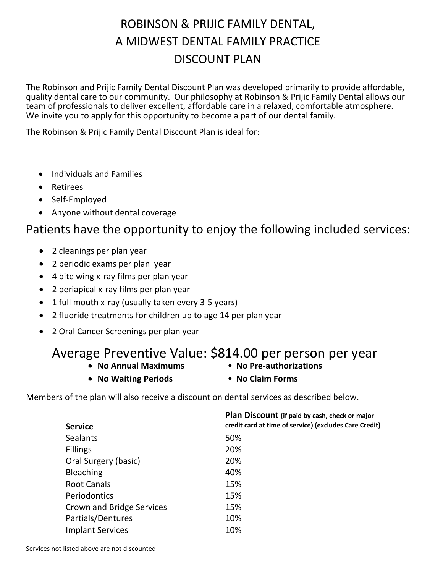## ROBINSON & PRIJIC FAMILY DENTAL, A MIDWEST DENTAL FAMILY PRACTICE DISCOUNT PLAN

The Robinson and Prijic Family Dental Discount Plan was developed primarily to provide affordable, quality dental care to our community. Our philosophy at Robinson & Prijic Family Dental allows our team of professionals to deliver excellent, affordable care in a relaxed, comfortable atmosphere. We invite you to apply for this opportunity to become a part of our dental family.

#### The Robinson & Prijic Family Dental Discount Plan is ideal for:

- Individuals and Families
- Retirees
- Self-Employed
- Anyone without dental coverage

### Patients have the opportunity to enjoy the following included services:

- 2 cleanings per plan year
- 2 periodic exams per plan year
- 4 bite wing x-ray films per plan year
- 2 periapical x-ray films per plan year
- 1 full mouth x-ray (usually taken every 3-5 years)
- 2 fluoride treatments for children up to age 14 per plan year
- 2 Oral Cancer Screenings per plan year

#### Average Preventive Value: \$814.00 per person per year

- No Annual Maximums No Pre-authorizations
- 
- No Waiting Periods No Claim Forms
	-

Members of the plan will also receive a discount on dental services as described below.

| Plan Discount (if paid by cash, check or major<br>credit card at time of service) (excludes Care Credit) |
|----------------------------------------------------------------------------------------------------------|
| 50%                                                                                                      |
| 20%                                                                                                      |
| 20%                                                                                                      |
| 40%                                                                                                      |
| 15%                                                                                                      |
| 15%                                                                                                      |
| 15%                                                                                                      |
| 10%                                                                                                      |
| 10%                                                                                                      |
|                                                                                                          |